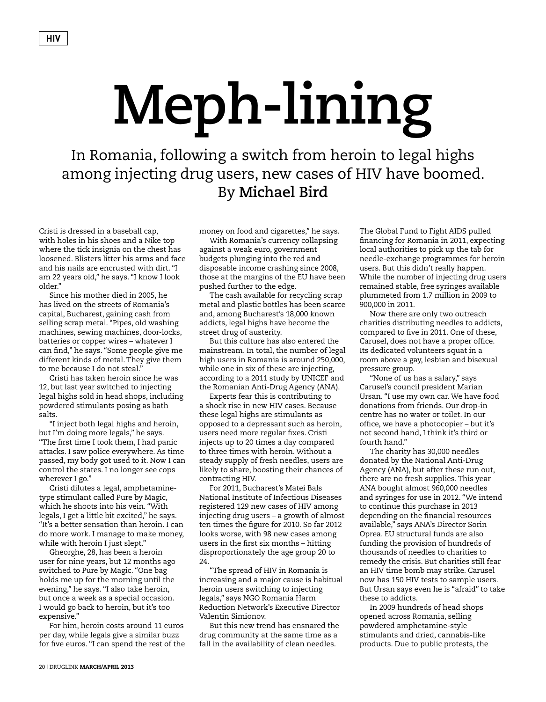## **Meph-lining**

In Romania, following a switch from heroin to legal highs among injecting drug users, new cases of HIV have boomed. By **Michael Bird**

Cristi is dressed in a baseball cap, with holes in his shoes and a Nike top where the tick insignia on the chest has loosened. Blisters litter his arms and face and his nails are encrusted with dirt. "I am 22 years old," he says. "I know I look older."

Since his mother died in 2005, he has lived on the streets of Romania's capital, Bucharest, gaining cash from selling scrap metal. "Pipes, old washing machines, sewing machines, door-locks, batteries or copper wires – whatever I can find," he says. "Some people give me different kinds of metal. They give them to me because I do not steal."

Cristi has taken heroin since he was 12, but last year switched to injecting legal highs sold in head shops, including powdered stimulants posing as bath salts.

"I inject both legal highs and heroin, but I'm doing more legals," he says. "The first time I took them, I had panic attacks. I saw police everywhere. As time passed, my body got used to it. Now I can control the states. I no longer see cops wherever I go."

Cristi dilutes a legal, amphetaminetype stimulant called Pure by Magic, which he shoots into his vein. "With legals, I get a little bit excited," he says. "It's a better sensation than heroin. I can do more work. I manage to make money, while with heroin I just slept."

Gheorghe, 28, has been a heroin user for nine years, but 12 months ago switched to Pure by Magic. "One bag holds me up for the morning until the evening," he says. "I also take heroin, but once a week as a special occasion. I would go back to heroin, but it's too expensive."

For him, heroin costs around 11 euros per day, while legals give a similar buzz for five euros. "I can spend the rest of the money on food and cigarettes," he says.

With Romania's currency collapsing against a weak euro, government budgets plunging into the red and disposable income crashing since 2008, those at the margins of the EU have been pushed further to the edge.

The cash available for recycling scrap metal and plastic bottles has been scarce and, among Bucharest's 18,000 known addicts, legal highs have become the street drug of austerity.

But this culture has also entered the mainstream. In total, the number of legal high users in Romania is around 250,000, while one in six of these are injecting, according to a 2011 study by UNICEF and the Romanian Anti-Drug Agency (ANA).

Experts fear this is contributing to a shock rise in new HIV cases. Because these legal highs are stimulants as opposed to a depressant such as heroin, users need more regular fixes. Cristi injects up to 20 times a day compared to three times with heroin. Without a steady supply of fresh needles, users are likely to share, boosting their chances of contracting HIV.

For 2011, Bucharest's Matei Bals National Institute of Infectious Diseases registered 129 new cases of HIV among injecting drug users – a growth of almost ten times the figure for 2010. So far 2012 looks worse, with 98 new cases among users in the first six months – hitting disproportionately the age group 20 to 24.

"The spread of HIV in Romania is increasing and a major cause is habitual heroin users switching to injecting legals," says NGO Romania Harm Reduction Network's Executive Director Valentin Simionov.

But this new trend has ensnared the drug community at the same time as a fall in the availability of clean needles.

The Global Fund to Fight AIDS pulled financing for Romania in 2011, expecting local authorities to pick up the tab for needle-exchange programmes for heroin users. But this didn't really happen. While the number of injecting drug users remained stable, free syringes available plummeted from 1.7 million in 2009 to 900,000 in 2011.

Now there are only two outreach charities distributing needles to addicts, compared to five in 2011. One of these, Carusel, does not have a proper office. Its dedicated volunteers squat in a room above a gay, lesbian and bisexual pressure group.

"None of us has a salary," says Carusel's council president Marian Ursan. "I use my own car. We have food donations from friends. Our drop-in centre has no water or toilet. In our office, we have a photocopier – but it's not second hand, I think it's third or fourth hand."

The charity has 30,000 needles donated by the National Anti-Drug Agency (ANA), but after these run out, there are no fresh supplies. This year ANA bought almost 960,000 needles and syringes for use in 2012. "We intend to continue this purchase in 2013 depending on the financial resources available," says ANA's Director Sorin Oprea. EU structural funds are also funding the provision of hundreds of thousands of needles to charities to remedy the crisis. But charities still fear an HIV time bomb may strike. Carusel now has 150 HIV tests to sample users. But Ursan says even he is "afraid" to take these to addicts.

In 2009 hundreds of head shops opened across Romania, selling powdered amphetamine-style stimulants and dried, cannabis-like products. Due to public protests, the